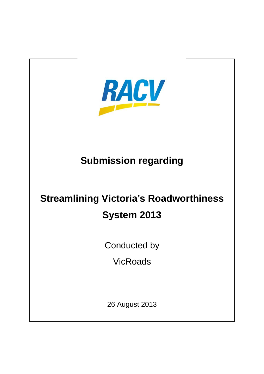

## **Submission regarding**

## **Streamlining Victoria**'**s Roadworthiness System 2013**

Conducted by

**VicRoads** 

26 August 2013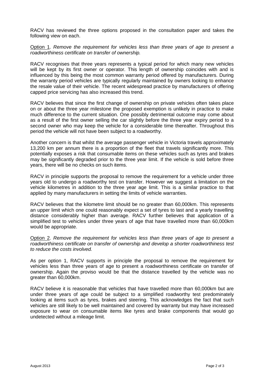RACV has reviewed the three options proposed in the consultation paper and takes the following view on each.

Option 1. *Remove the requirement for vehicles less than three years of age to present a roadworthiness certificate on transfer of ownership.*

RACV recognises that three years represents a typical period for which many new vehicles will be kept by its first owner or operator. This length of ownership coincides with and is influenced by this being the most common warranty period offered by manufacturers. During the warranty period vehicles are typically regularly maintained by owners looking to enhance the resale value of their vehicle. The recent widespread practice by manufacturers of offering capped price servicing has also increased this trend.

RACV believes that since the first change of ownership on private vehicles often takes place on or about the three year milestone the proposed exemption is unlikely in practice to make much difference to the current situation. One possibly detrimental outcome may come about as a result of the first owner selling the car slightly before the three year expiry period to a second owner who may keep the vehicle for a considerable time thereafter. Throughout this period the vehicle will not have been subject to a roadworthy.

Another concern is that whilst the average passenger vehicle in Victoria travels approximately 13,200 km per annum there is a proportion of the fleet that travels significantly more. This potentially exposes a risk that consumable items on these vehicles such as tyres and brakes may be significantly degraded prior to the three year limit. If the vehicle is sold before three years, there will be no checks on such items.

RACV in principle supports the proposal to remove the requirement for a vehicle under three years old to undergo a roadworthy test on transfer. However we suggest a limitation on the vehicle kilometres in addition to the three year age limit. This is a similar practice to that applied by many manufacturers in setting the limits of vehicle warranties.

RACV believes that the kilometre limit should be no greater than 60,000km. This represents an upper limit which one could reasonably expect a set of tyres to last and a yearly travelling distance considerably higher than average. RACV further believes that application of a simplified test to vehicles under three years of age that have travelled more than 60,000km would be appropriate.

Option 2. *Remove the requirement for vehicles less than three years of age to present a roadworthiness certificate on transfer of ownership and develop a shorter roadworthiness test to reduce the costs involved.*

As per option 1, RACV supports in principle the proposal to remove the requirement for vehicles less than three years of age to present a roadworthiness certificate on transfer of ownership. Again the proviso would be that the distance travelled by the vehicle was no greater than 60,000km.

RACV believe it is reasonable that vehicles that have travelled more than 60,000km but are under three years of age could be subject to a simplified roadworthy test predominately looking at items such as tyres, brakes and steering. This acknowledges the fact that such vehicles are still likely to be well maintained and covered by warranty but may have increased exposure to wear on consumable items like tyres and brake components that would go undetected without a mileage limit.